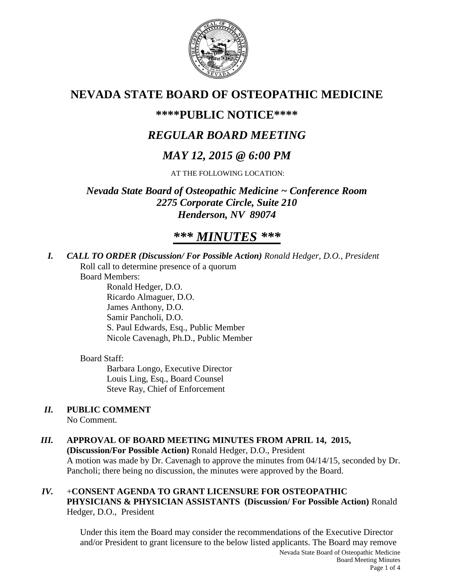

# **NEVADA STATE BOARD OF OSTEOPATHIC MEDICINE**

# **\*\*\*\*PUBLIC NOTICE\*\*\*\***

# *REGULAR BOARD MEETING*

# *MAY 12, 2015 @ 6:00 PM*

AT THE FOLLOWING LOCATION:

*Nevada State Board of Osteopathic Medicine ~ Conference Room 2275 Corporate Circle, Suite 210 Henderson, NV 89074*

# *\*\*\* MINUTES \*\*\**

*I. CALL TO ORDER (Discussion/ For Possible Action) Ronald Hedger, D.O., President* Roll call to determine presence of a quorum

Board Members:

Ronald Hedger, D.O. Ricardo Almaguer, D.O. James Anthony, D.O. Samir Pancholi, D.O. S. Paul Edwards, Esq., Public Member Nicole Cavenagh, Ph.D., Public Member

# Board Staff:

Barbara Longo, Executive Director Louis Ling, Esq., Board Counsel Steve Ray, Chief of Enforcement

# *II.* **PUBLIC COMMENT**

No Comment.

# *III.* **APPROVAL OF BOARD MEETING MINUTES FROM APRIL 14, 2015,**

**(Discussion/For Possible Action)** Ronald Hedger, D.O., President A motion was made by Dr. Cavenagh to approve the minutes from 04/14/15, seconded by Dr. Pancholi; there being no discussion, the minutes were approved by the Board.

## *IV.* +**CONSENT AGENDA TO GRANT LICENSURE FOR OSTEOPATHIC PHYSICIANS & PHYSICIAN ASSISTANTS (Discussion/ For Possible Action)** Ronald Hedger, D.O., President

Under this item the Board may consider the recommendations of the Executive Director and/or President to grant licensure to the below listed applicants. The Board may remove

Nevada State Board of Osteopathic Medicine Board Meeting Minutes Page 1 of 4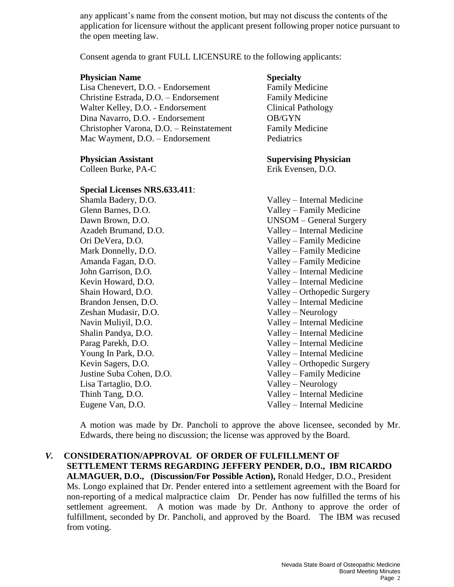any applicant's name from the consent motion, but may not discuss the contents of the application for licensure without the applicant present following proper notice pursuant to the open meeting law.

Consent agenda to grant FULL LICENSURE to the following applicants:

### **Physician Name Specialty**

Lisa Chenevert, D.O. - Endorsement Family Medicine Christine Estrada, D.O. – Endorsement Family Medicine Walter Kelley, D.O. - Endorsement Clinical Pathology Dina Navarro, D.O. - Endorsement OB/GYN Christopher Varona, D.O. – Reinstatement Family Medicine Mac Wayment, D.O. – Endorsement Pediatrics

Colleen Burke, PA-C Erik Evensen, D.O.

### **Special Licenses NRS.633.411**:

Zeshan Mudasir, D.O. Valley – Neurology Lisa Tartaglio, D.O. Valley – Neurology

## **Physician Assistant Supervising Physician**

Shamla Badery, D.O. Valley – Internal Medicine Glenn Barnes, D.O. Valley – Family Medicine Dawn Brown, D.O. UNSOM – General Surgery Azadeh Brumand, D.O. Valley – Internal Medicine Ori DeVera, D.O. Valley – Family Medicine Mark Donnelly, D.O. Valley – Family Medicine Amanda Fagan, D.O. Valley – Family Medicine John Garrison, D.O. Valley – Internal Medicine Kevin Howard, D.O. Valley – Internal Medicine Shain Howard, D.O. Valley – Orthopedic Surgery Brandon Jensen, D.O. Valley – Internal Medicine Navin Muliyil, D.O. Valley – Internal Medicine Shalin Pandya, D.O. Valley – Internal Medicine Parag Parekh, D.O. Valley – Internal Medicine Young In Park, D.O. Same Valley – Internal Medicine Kevin Sagers, D.O. Valley – Orthopedic Surgery Justine Suba Cohen, D.O. Valley – Family Medicine Thinh Tang, D.O. Valley – Internal Medicine Eugene Van, D.O. Valley – Internal Medicine

A motion was made by Dr. Pancholi to approve the above licensee, seconded by Mr. Edwards, there being no discussion; the license was approved by the Board.

# *V.* **CONSIDERATION/APPROVAL OF ORDER OF FULFILLMENT OF SETTLEMENT TERMS REGARDING JEFFERY PENDER, D.O., IBM RICARDO ALMAGUER, D.O., (Discussion/For Possible Action),** Ronald Hedger, D.O., President Ms. Longo explained that Dr. Pender entered into a settlement agreement with the Board for

non-reporting of a medical malpractice claim Dr. Pender has now fulfilled the terms of his settlement agreement. A motion was made by Dr. Anthony to approve the order of fulfillment, seconded by Dr. Pancholi, and approved by the Board. The IBM was recused from voting.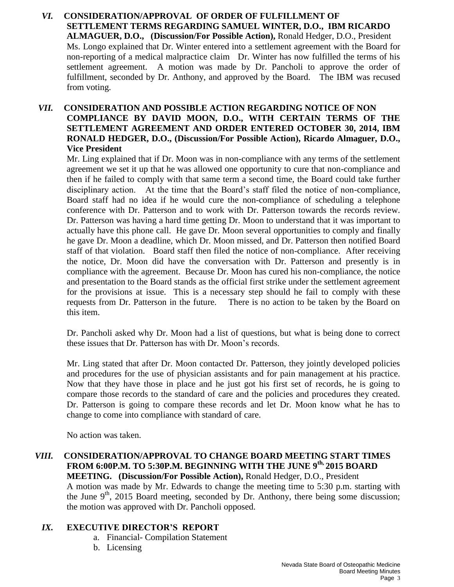*VI.* **CONSIDERATION/APPROVAL OF ORDER OF FULFILLMENT OF SETTLEMENT TERMS REGARDING SAMUEL WINTER, D.O., IBM RICARDO ALMAGUER, D.O., (Discussion/For Possible Action),** Ronald Hedger, D.O., President Ms. Longo explained that Dr. Winter entered into a settlement agreement with the Board for non-reporting of a medical malpractice claim Dr. Winter has now fulfilled the terms of his settlement agreement. A motion was made by Dr. Pancholi to approve the order of fulfillment, seconded by Dr. Anthony, and approved by the Board. The IBM was recused from voting.

## *VII.* **CONSIDERATION AND POSSIBLE ACTION REGARDING NOTICE OF NON COMPLIANCE BY DAVID MOON, D.O., WITH CERTAIN TERMS OF THE SETTLEMENT AGREEMENT AND ORDER ENTERED OCTOBER 30, 2014, IBM RONALD HEDGER, D.O., (Discussion/For Possible Action), Ricardo Almaguer, D.O., Vice President**

Mr. Ling explained that if Dr. Moon was in non-compliance with any terms of the settlement agreement we set it up that he was allowed one opportunity to cure that non-compliance and then if he failed to comply with that same term a second time, the Board could take further disciplinary action. At the time that the Board's staff filed the notice of non-compliance, Board staff had no idea if he would cure the non-compliance of scheduling a telephone conference with Dr. Patterson and to work with Dr. Patterson towards the records review. Dr. Patterson was having a hard time getting Dr. Moon to understand that it was important to actually have this phone call. He gave Dr. Moon several opportunities to comply and finally he gave Dr. Moon a deadline, which Dr. Moon missed, and Dr. Patterson then notified Board staff of that violation. Board staff then filed the notice of non-compliance. After receiving the notice, Dr. Moon did have the conversation with Dr. Patterson and presently is in compliance with the agreement. Because Dr. Moon has cured his non-compliance, the notice and presentation to the Board stands as the official first strike under the settlement agreement for the provisions at issue. This is a necessary step should he fail to comply with these requests from Dr. Patterson in the future. There is no action to be taken by the Board on this item.

Dr. Pancholi asked why Dr. Moon had a list of questions, but what is being done to correct these issues that Dr. Patterson has with Dr. Moon's records.

Mr. Ling stated that after Dr. Moon contacted Dr. Patterson, they jointly developed policies and procedures for the use of physician assistants and for pain management at his practice. Now that they have those in place and he just got his first set of records, he is going to compare those records to the standard of care and the policies and procedures they created. Dr. Patterson is going to compare these records and let Dr. Moon know what he has to change to come into compliance with standard of care.

No action was taken.

*VIII.* **CONSIDERATION/APPROVAL TO CHANGE BOARD MEETING START TIMES FROM 6:00P.M. TO 5:30P.M. BEGINNING WITH THE JUNE 9th, 2015 BOARD MEETING. (Discussion/For Possible Action),** Ronald Hedger, D.O., President A motion was made by Mr. Edwards to change the meeting time to 5:30 p.m. starting with the June  $9<sup>th</sup>$ , 2015 Board meeting, seconded by Dr. Anthony, there being some discussion; the motion was approved with Dr. Pancholi opposed.

## *IX.* **EXECUTIVE DIRECTOR'S REPORT**

- a. Financial- Compilation Statement
- b. Licensing